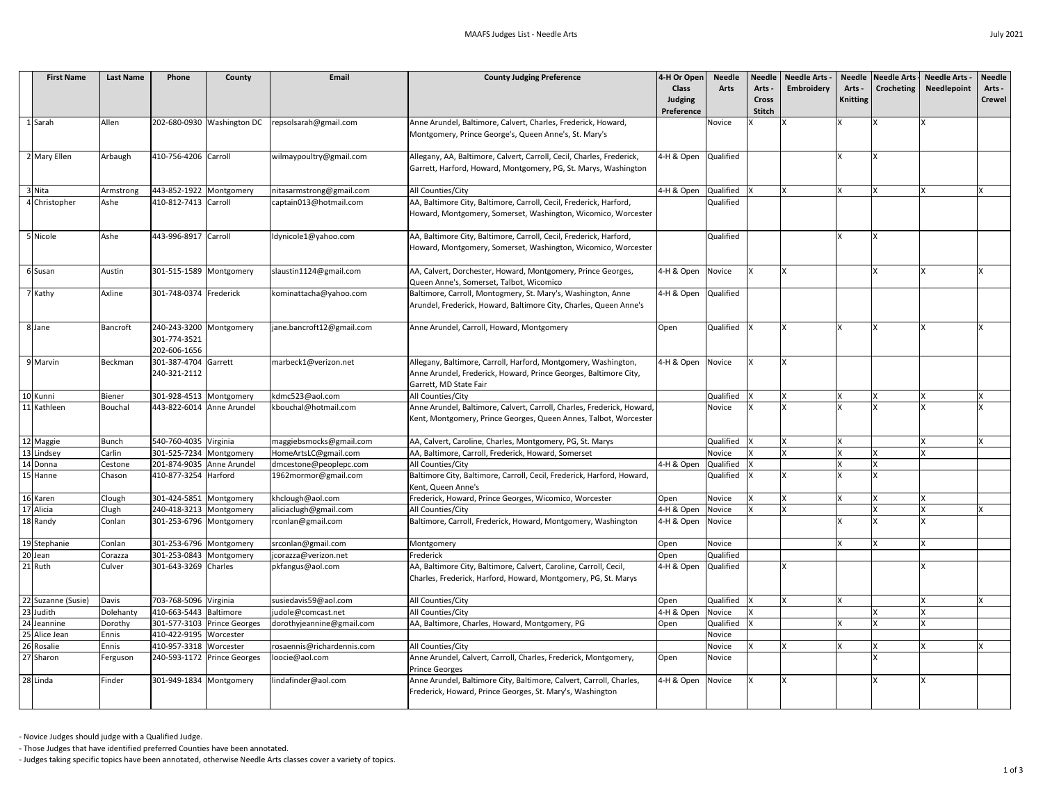| <b>First Name</b>     | <b>Last Name</b> | Phone                                                   | County                      | Email                                      | <b>County Judging Preference</b>                                                                                                                             | 4-H Or Open<br><b>Class</b><br><b>Judging</b><br>Preference | <b>Needle</b><br><b>Arts</b> | Needle<br>Arts .<br><b>Cross</b><br><b>Stitch</b> | <b>Needle Arts -</b><br>Embroidery | Arts -<br><b>Knitting</b> | Needle Needle Arts -<br>Crocheting | <b>Needle Arts -</b><br><b>Needlepoint</b> | <b>Needle</b><br>Arts -<br><b>Crewel</b> |
|-----------------------|------------------|---------------------------------------------------------|-----------------------------|--------------------------------------------|--------------------------------------------------------------------------------------------------------------------------------------------------------------|-------------------------------------------------------------|------------------------------|---------------------------------------------------|------------------------------------|---------------------------|------------------------------------|--------------------------------------------|------------------------------------------|
| 1 Sarah               | Allen            |                                                         | 202-680-0930 Washington DC  | repsolsarah@gmail.com                      | Anne Arundel, Baltimore, Calvert, Charles, Frederick, Howard,<br>Montgomery, Prince George's, Queen Anne's, St. Mary's                                       |                                                             | Novice                       |                                                   |                                    |                           |                                    |                                            |                                          |
| 2 Mary Ellen          | Arbaugh          | 410-756-4206 Carroll                                    |                             | wilmaypoultry@gmail.com                    | Allegany, AA, Baltimore, Calvert, Carroll, Cecil, Charles, Frederick,<br>Garrett, Harford, Howard, Montgomery, PG, St. Marys, Washington                     | 4-H & Open                                                  | Qualified                    |                                                   |                                    |                           |                                    |                                            |                                          |
| 3 Nita                | Armstrong        | 443-852-1922 Montgomery                                 |                             | nitasarmstrong@gmail.com                   | All Counties/City                                                                                                                                            | 4-H & Open                                                  | Qualified                    |                                                   |                                    |                           |                                    |                                            |                                          |
| 4 Christopher         | Ashe             | 410-812-7413 Carroll                                    |                             | captain013@hotmail.com                     | AA, Baltimore City, Baltimore, Carroll, Cecil, Frederick, Harford,<br>Howard, Montgomery, Somerset, Washington, Wicomico, Worcester                          |                                                             | Qualified                    |                                                   |                                    |                           |                                    |                                            |                                          |
| 5 Nicole              | Ashe             | 443-996-8917 Carroll                                    |                             | Idynicole1@yahoo.com                       | AA, Baltimore City, Baltimore, Carroll, Cecil, Frederick, Harford,<br>Howard, Montgomery, Somerset, Washington, Wicomico, Worcester                          |                                                             | Qualified                    |                                                   |                                    |                           |                                    |                                            |                                          |
| 6 Susan               | Austin           | 301-515-1589 Montgomery                                 |                             | slaustin1124@gmail.com                     | AA, Calvert, Dorchester, Howard, Montgomery, Prince Georges,<br>Queen Anne's, Somerset, Talbot, Wicomico                                                     | 4-H & Open                                                  | Novice                       |                                                   |                                    |                           |                                    |                                            |                                          |
| 7 Kathy               | Axline           | 301-748-0374 Frederick                                  |                             | kominattacha@yahoo.com                     | Baltimore, Carroll, Montogmery, St. Mary's, Washington, Anne<br>Arundel, Frederick, Howard, Baltimore City, Charles, Queen Anne's                            | 4-H & Open                                                  | Qualified                    |                                                   |                                    |                           |                                    |                                            |                                          |
| 8 Jane                | <b>Bancroft</b>  | 240-243-3200 Montgomery<br>301-774-3521<br>202-606-1656 |                             | jane.bancroft12@gmail.com                  | Anne Arundel, Carroll, Howard, Montgomery                                                                                                                    | Open                                                        | Qualified                    |                                                   |                                    |                           |                                    |                                            |                                          |
| 9 Marvin              | Beckman          | 301-387-4704 Garrett<br>240-321-2112                    |                             | marbeck1@verizon.net                       | Allegany, Baltimore, Carroll, Harford, Montgomery, Washington,<br>Anne Arundel, Frederick, Howard, Prince Georges, Baltimore City,<br>Garrett, MD State Fair | 4-H & Open                                                  | Novice                       |                                                   |                                    |                           |                                    |                                            |                                          |
| 10 Kunni              | <b>Biener</b>    | 301-928-4513 Montgomery                                 |                             | kdmc523@aol.com                            | All Counties/City                                                                                                                                            |                                                             | Qualified                    |                                                   |                                    |                           |                                    |                                            |                                          |
| 11 Kathleen           | <b>Bouchal</b>   | 443-822-6014 Anne Arundel                               |                             | kbouchal@hotmail.com                       | Anne Arundel, Baltimore, Calvert, Carroll, Charles, Frederick, Howard,<br>Kent, Montgomery, Prince Georges, Queen Annes, Talbot, Worcester                   |                                                             | <b>Novice</b>                |                                                   |                                    |                           |                                    |                                            |                                          |
| 12 Maggie             | Bunch            | 540-760-4035 Virginia                                   |                             | maggiebsmocks@gmail.com                    | AA, Calvert, Caroline, Charles, Montgomery, PG, St. Marys                                                                                                    |                                                             | Qualified                    |                                                   |                                    |                           |                                    |                                            |                                          |
| 13 Lindsey            | Carlin           | 301-525-7234 Montgomery                                 |                             | HomeArtsLC@gmail.com                       | AA, Baltimore, Carroll, Frederick, Howard, Somerset                                                                                                          |                                                             | Novice                       |                                                   |                                    |                           |                                    |                                            |                                          |
| 14 Donna              | Cestone          | 201-874-9035 Anne Arundel                               |                             | dmcestone@peoplepc.com                     | All Counties/City                                                                                                                                            | 4-H & Open                                                  | Qualified                    |                                                   |                                    |                           |                                    |                                            |                                          |
| 15 Hanne              | Chason           | 410-877-3254 Harford                                    |                             | 1962mormor@gmail.com                       | Baltimore City, Baltimore, Carroll, Cecil, Frederick, Harford, Howard,<br>Kent, Queen Anne's                                                                 |                                                             | Qualified                    |                                                   |                                    |                           |                                    |                                            |                                          |
| 16 Karen              | Clough           | 301-424-5851 Montgomery                                 |                             | khclough@aol.com                           | Frederick, Howard, Prince Georges, Wicomico, Worcester                                                                                                       | Open                                                        | Novice                       |                                                   |                                    |                           |                                    |                                            |                                          |
| 17 Alicia<br>18 Randy | Clugh<br>Conlan  | 240-418-3213 Montgomery<br>301-253-6796 Montgomery      |                             | aliciaclugh@gmail.com<br>rconlan@gmail.com | All Counties/City<br>Baltimore, Carroll, Frederick, Howard, Montgomery, Washington                                                                           | 4-H & Open<br>4-H & Open                                    | Novice<br>Novice             |                                                   |                                    |                           |                                    |                                            |                                          |
| 19Stephanie           | Conlan           | 301-253-6796 Montgomery                                 |                             | srconlan@gmail.com                         | Montgomery                                                                                                                                                   | Open                                                        | Novice                       |                                                   |                                    |                           | $\mathbf{v}$                       |                                            |                                          |
| $20$ Jean             | Corazza          | 301-253-0843 Montgomery                                 |                             | jcorazza@verizon.net                       | Frederick                                                                                                                                                    | Open                                                        | Qualified                    |                                                   |                                    |                           |                                    |                                            |                                          |
| 21 Ruth               | Culver           | 301-643-3269 Charles                                    |                             | pkfangus@aol.com                           | AA, Baltimore City, Baltimore, Calvert, Caroline, Carroll, Cecil,<br>Charles, Frederick, Harford, Howard, Montgomery, PG, St. Marys                          | 4-H & Open                                                  | Qualified                    |                                                   |                                    |                           |                                    |                                            |                                          |
| 22 Suzanne (Susie)    | Davis            | 703-768-5096 Virginia                                   |                             | susiedavis59@aol.com                       | All Counties/City                                                                                                                                            | Open                                                        | Qualified                    |                                                   |                                    |                           |                                    |                                            |                                          |
| 23 Judith             | Dolehanty        | 410-663-5443 Baltimore                                  |                             | judole@comcast.net                         | All Counties/City                                                                                                                                            | 4-H & Open                                                  | Novice                       |                                                   |                                    |                           |                                    |                                            |                                          |
| 24 Jeannine           | Dorothy          |                                                         | 301-577-3103 Prince Georges | dorothyjeannine@gmail.com                  | AA, Baltimore, Charles, Howard, Montgomery, PG                                                                                                               | Open                                                        | Qualified                    |                                                   |                                    |                           |                                    |                                            |                                          |
| 25 Alice Jean         | Ennis            | 410-422-9195   Worcester                                |                             |                                            |                                                                                                                                                              |                                                             | Novice                       |                                                   |                                    |                           |                                    |                                            |                                          |
| 26 Rosalie            | Ennis            | 410-957-3318 Worcester                                  |                             | rosaennis@richardennis.com                 | All Counties/City                                                                                                                                            |                                                             | Novice                       |                                                   |                                    |                           |                                    |                                            |                                          |
| 27 Sharon             | Ferguson         |                                                         | 240-593-1172 Prince Georges | loocie@aol.com                             | Anne Arundel, Calvert, Carroll, Charles, Frederick, Montgomery,<br><b>Prince Georges</b>                                                                     | Open                                                        | Novice                       |                                                   |                                    |                           |                                    |                                            |                                          |
| 28 Linda              | Finder           | 301-949-1834 Montgomery                                 |                             | lindafinder@aol.com                        | Anne Arundel, Baltimore City, Baltimore, Calvert, Carroll, Charles,<br>Frederick, Howard, Prince Georges, St. Mary's, Washington                             | 4-H & Open                                                  | Novice                       |                                                   |                                    |                           |                                    |                                            |                                          |

- Novice Judges should judge with a Qualified Judge.

- Those Judges that have identified preferred Counties have been annotated.

- Judges taking specific topics have been annotated, otherwise Needle Arts classes cover a variety of topics.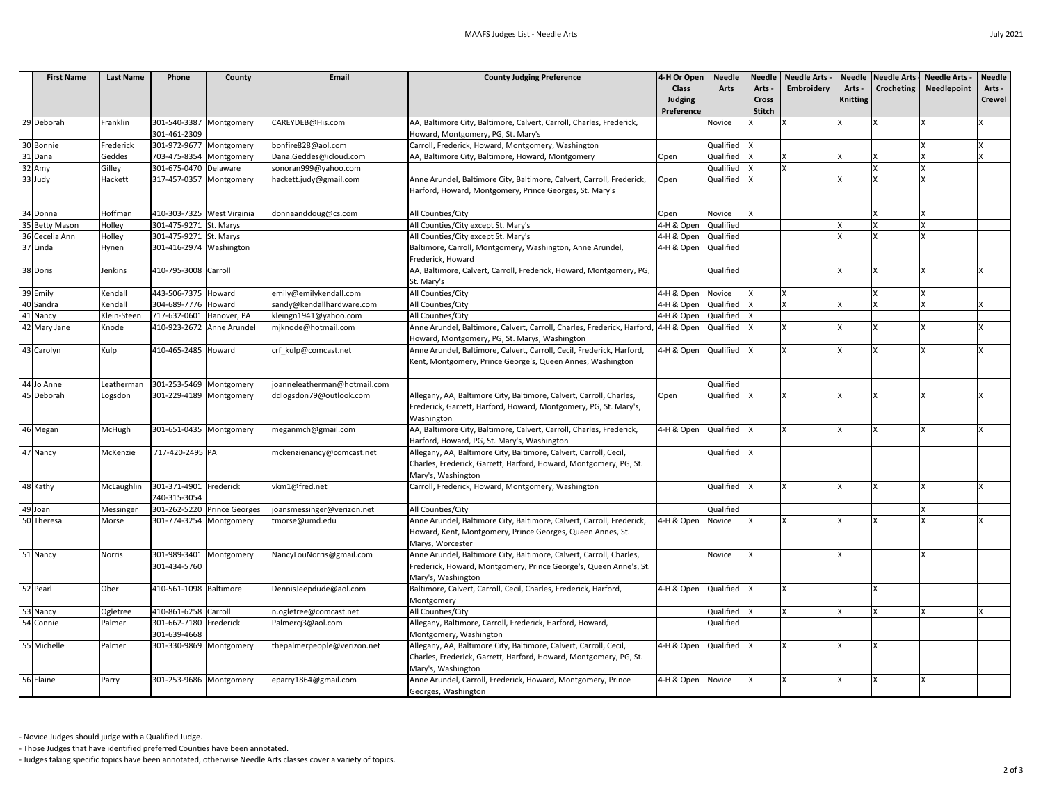| <b>First Name</b> | <b>Last Name</b> | Phone                       | County | Email                        | <b>County Judging Preference</b>                                                                                                 | 4-H Or Open                              | <b>Needle</b> | <b>Needle</b> | <b>Needle Arts -</b> |                 | Needle   Needle Arts   Needle Arts - | Needle        |
|-------------------|------------------|-----------------------------|--------|------------------------------|----------------------------------------------------------------------------------------------------------------------------------|------------------------------------------|---------------|---------------|----------------------|-----------------|--------------------------------------|---------------|
|                   |                  |                             |        |                              |                                                                                                                                  | <b>Class</b>                             | <b>Arts</b>   | Arts -        | Embroidery           | Arts -          | Crocheting   Needlepoint             | Arts -        |
|                   |                  |                             |        |                              |                                                                                                                                  | <b>Judging</b>                           |               | <b>Cross</b>  |                      | <b>Knitting</b> |                                      | <b>Crewel</b> |
|                   |                  |                             |        |                              |                                                                                                                                  | Preference                               |               | <b>Stitch</b> |                      |                 |                                      |               |
| 29 Deborah        | Franklin         | 301-540-3387 Montgomery     |        | CAREYDEB@His.com             | AA, Baltimore City, Baltimore, Calvert, Carroll, Charles, Frederick,                                                             |                                          | Novice        |               |                      |                 |                                      |               |
|                   |                  | 301-461-2309                |        |                              | Howard, Montgomery, PG, St. Mary's                                                                                               |                                          |               |               |                      |                 |                                      |               |
| 30 Bonnie         | Frederick        | 301-972-9677 Montgomery     |        | bonfire828@aol.com           | Carroll, Frederick, Howard, Montgomery, Washington                                                                               |                                          | Qualified  X  |               |                      |                 |                                      |               |
| 31 Dana           | Geddes           | 703-475-8354 Montgomery     |        | Dana.Geddes@icloud.com       | AA, Baltimore City, Baltimore, Howard, Montgomery                                                                                | Open                                     | Qualified     |               |                      |                 |                                      |               |
| 32 Amy            | Gilley           | 301-675-0470 Delaware       |        | sonoran999@yahoo.com         |                                                                                                                                  |                                          | Qualified     |               |                      |                 |                                      |               |
| 33 Judy           | Hackett          | 317-457-0357 Montgomery     |        | hackett.judy@gmail.com       | Anne Arundel, Baltimore City, Baltimore, Calvert, Carroll, Frederick,<br>Harford, Howard, Montgomery, Prince Georges, St. Mary's | Open                                     | Qualified  X  |               |                      |                 |                                      |               |
| 34 Donna          | Hoffman          | 410-303-7325 West Virginia  |        |                              | All Counties/City                                                                                                                |                                          | Novice        |               |                      |                 |                                      |               |
| 35 Betty Mason    | Holley           | 301-475-9271 St. Marys      |        | donnaanddoug@cs.com          | All Counties/City except St. Mary's                                                                                              | Open<br>4-H & Open                       | Qualified     |               |                      |                 |                                      |               |
| 36 Cecelia Ann    | Holley           | 301-475-9271 St. Marys      |        |                              | All Counties/City except St. Mary's                                                                                              | 4-H & Open                               | Qualified     |               |                      |                 |                                      |               |
| 37 Linda          | Hynen            | 301-416-2974 Washington     |        |                              | Baltimore, Carroll, Montgomery, Washington, Anne Arundel,                                                                        | 4-H & Open                               | Qualified     |               |                      |                 |                                      |               |
|                   |                  |                             |        |                              | Frederick, Howard                                                                                                                |                                          |               |               |                      |                 |                                      |               |
| 38 Doris          | Jenkins          | 410-795-3008 Carroll        |        |                              | AA, Baltimore, Calvert, Carroll, Frederick, Howard, Montgomery, PG,                                                              |                                          | Qualified     |               |                      |                 |                                      |               |
|                   |                  |                             |        |                              | St. Mary's                                                                                                                       |                                          |               |               |                      |                 |                                      |               |
| 39 Emily          | Kendall          | 443-506-7375 Howard         |        | emily@emilykendall.com       | All Counties/City                                                                                                                | 4-H & Open                               | Novice        |               |                      |                 |                                      |               |
| 40 Sandra         | Kendall          | 304-689-7776 Howard         |        | sandy@kendallhardware.com    | All Counties/City                                                                                                                | 4-H & Open                               | Qualified     |               |                      |                 |                                      |               |
| 41 Nancy          | Klein-Steen      | 717-632-0601 Hanover, PA    |        | kleingn1941@yahoo.com        | All Counties/City                                                                                                                | 4-H & Open                               | Qualified     |               |                      |                 |                                      |               |
| 42 Mary Jane      | Knode            | 410-923-2672 Anne Arundel   |        | mjknode@hotmail.com          | Anne Arundel, Baltimore, Calvert, Carroll, Charles, Frederick, Harford, 4-H & Open                                               |                                          | Qualified     |               |                      |                 |                                      |               |
|                   |                  |                             |        |                              | Howard, Montgomery, PG, St. Marys, Washington                                                                                    |                                          |               |               |                      |                 |                                      |               |
| 43 Carolyn        | Kulp             | 410-465-2485 Howard         |        | crf_kulp@comcast.net         | Anne Arundel, Baltimore, Calvert, Carroll, Cecil, Frederick, Harford,                                                            | 4-H & Open Qualified  X                  |               |               |                      |                 |                                      |               |
|                   |                  |                             |        |                              | Kent, Montgomery, Prince George's, Queen Annes, Washington                                                                       |                                          |               |               |                      |                 |                                      |               |
|                   |                  |                             |        |                              |                                                                                                                                  |                                          |               |               |                      |                 |                                      |               |
| 44 Jo Anne        | Leatherman       | 301-253-5469 Montgomery     |        | joanneleatherman@hotmail.com |                                                                                                                                  |                                          | Qualified     |               |                      |                 |                                      |               |
| 45 Deborah        | Logsdon          | 301-229-4189 Montgomery     |        | ddlogsdon79@outlook.com      | Allegany, AA, Baltimore City, Baltimore, Calvert, Carroll, Charles,                                                              | Open                                     | Qualified  X  |               |                      |                 |                                      |               |
|                   |                  |                             |        |                              | Frederick, Garrett, Harford, Howard, Montgomery, PG, St. Mary's,                                                                 |                                          |               |               |                      |                 |                                      |               |
|                   |                  |                             |        |                              | Washington                                                                                                                       |                                          |               |               |                      |                 |                                      |               |
| 46 Megan          | McHugh           | 301-651-0435 Montgomery     |        | meganmch@gmail.com           | AA, Baltimore City, Baltimore, Calvert, Carroll, Charles, Frederick,                                                             | $4-H$ & Open $\alpha$ Qualified $\alpha$ |               |               |                      |                 |                                      |               |
|                   |                  |                             |        |                              | Harford, Howard, PG, St. Mary's, Washington                                                                                      |                                          |               |               |                      |                 |                                      |               |
| 47 Nancy          | McKenzie         | 717-420-2495 PA             |        | mckenzienancy@comcast.net    | Allegany, AA, Baltimore City, Baltimore, Calvert, Carroll, Cecil,                                                                |                                          | Qualified  X  |               |                      |                 |                                      |               |
|                   |                  |                             |        |                              | Charles, Frederick, Garrett, Harford, Howard, Montgomery, PG, St.                                                                |                                          |               |               |                      |                 |                                      |               |
|                   |                  |                             |        |                              | Mary's, Washington                                                                                                               |                                          |               |               |                      |                 |                                      |               |
| 48 Kathy          | McLaughlin       | 301-371-4901 Frederick      |        | vkm1@fred.net                | Carroll, Frederick, Howard, Montgomery, Washington                                                                               |                                          | Qualified  X  |               |                      |                 |                                      |               |
|                   |                  | 240-315-3054                |        |                              |                                                                                                                                  |                                          |               |               |                      |                 |                                      |               |
| 49 Joan           | Messinger        | 301-262-5220 Prince Georges |        | joansmessinger@verizon.net   | All Counties/City                                                                                                                |                                          | Qualified     |               |                      |                 |                                      |               |
| 50Theresa         | Morse            | 301-774-3254 Montgomery     |        | tmorse@umd.edu               | Anne Arundel, Baltimore City, Baltimore, Calvert, Carroll, Frederick,                                                            | 4-H & Open                               | Novice        |               |                      |                 |                                      |               |
|                   |                  |                             |        |                              | Howard, Kent, Montgomery, Prince Georges, Queen Annes, St.                                                                       |                                          |               |               |                      |                 |                                      |               |
|                   |                  |                             |        |                              | Marys, Worcester                                                                                                                 |                                          |               |               |                      |                 |                                      |               |
| 51 Nancy          | <b>Norris</b>    | 301-989-3401 Montgomery     |        | NancyLouNorris@gmail.com     | Anne Arundel, Baltimore City, Baltimore, Calvert, Carroll, Charles,                                                              |                                          | Novice        |               |                      |                 |                                      |               |
|                   |                  | 301-434-5760                |        |                              | Frederick, Howard, Montgomery, Prince George's, Queen Anne's, St.                                                                |                                          |               |               |                      |                 |                                      |               |
|                   |                  |                             |        |                              | Mary's, Washington                                                                                                               |                                          |               |               |                      |                 |                                      |               |
| 52 Pearl          | Ober             | 410-561-1098   Baltimore    |        | DennisJeepdude@aol.com       | Baltimore, Calvert, Carroll, Cecil, Charles, Frederick, Harford,<br>Montgomery                                                   | 4-H & Open                               | Qualified  X  |               |                      |                 |                                      |               |
| 53 Nancy          | Ogletree         | 410-861-6258 Carroll        |        | n.ogletree@comcast.net       | All Counties/City                                                                                                                |                                          | Qualified     |               |                      |                 |                                      |               |
| 54 Connie         | Palmer           | 301-662-7180 Frederick      |        | Palmercj3@aol.com            | Allegany, Baltimore, Carroll, Frederick, Harford, Howard,                                                                        |                                          | Qualified     |               |                      |                 |                                      |               |
|                   |                  | 301-639-4668                |        |                              | Montgomery, Washington                                                                                                           |                                          |               |               |                      |                 |                                      |               |
| 55 Michelle       | Palmer           | 301-330-9869 Montgomery     |        | thepalmerpeople@verizon.net  | Allegany, AA, Baltimore City, Baltimore, Calvert, Carroll, Cecil,                                                                | 4-H & Open                               | Qualified X   |               |                      |                 |                                      |               |
|                   |                  |                             |        |                              | Charles, Frederick, Garrett, Harford, Howard, Montgomery, PG, St.                                                                |                                          |               |               |                      |                 |                                      |               |
|                   |                  |                             |        |                              | Mary's, Washington                                                                                                               |                                          |               |               |                      |                 |                                      |               |
| 56 Elaine         | Parry            | 301-253-9686 Montgomery     |        | eparry1864@gmail.com         | Anne Arundel, Carroll, Frederick, Howard, Montgomery, Prince                                                                     | 4-H & Open                               | Novice        |               |                      |                 |                                      |               |
|                   |                  |                             |        |                              | Georges, Washington                                                                                                              |                                          |               |               |                      |                 |                                      |               |

- Novice Judges should judge with a Qualified Judge.

- Those Judges that have identified preferred Counties have been annotated.

- Judges taking specific topics have been annotated, otherwise Needle Arts classes cover a variety of topics.